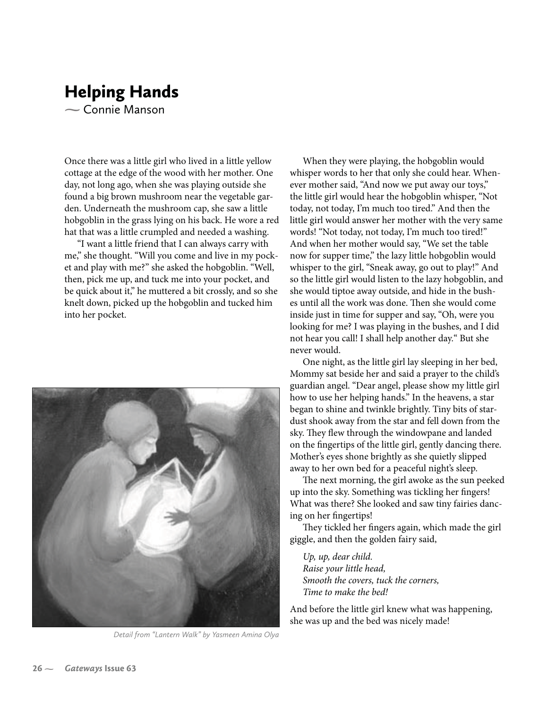## **Helping Hands**  $\sim$  Connie Manson

Once there was a little girl who lived in a little yellow cottage at the edge of the wood with her mother. One day, not long ago, when she was playing outside she found a big brown mushroom near the vegetable garden. Underneath the mushroom cap, she saw a little hobgoblin in the grass lying on his back. He wore a red hat that was a little crumpled and needed a washing.

"I want a little friend that I can always carry with me," she thought. "Will you come and live in my pocket and play with me?" she asked the hobgoblin. "Well, then, pick me up, and tuck me into your pocket, and be quick about it," he muttered a bit crossly, and so she knelt down, picked up the hobgoblin and tucked him into her pocket.



Detail from "Lantern Walk" by Yasmeen Amina Olya

When they were playing, the hobgoblin would whisper words to her that only she could hear. Whenever mother said, "And now we put away our toys," the little girl would hear the hobgoblin whisper, "Not today, not today, I'm much too tired." And then the little girl would answer her mother with the very same words! "Not today, not today, I'm much too tired!" And when her mother would say, "We set the table now for supper time," the lazy little hobgoblin would whisper to the girl, "Sneak away, go out to play!" And so the little girl would listen to the lazy hobgoblin, and she would tiptoe away outside, and hide in the bushes until all the work was done. Then she would come inside just in time for supper and say, "Oh, were you looking for me? I was playing in the bushes, and I did not hear you call! I shall help another day." But she never would.

One night, as the little girl lay sleeping in her bed, Mommy sat beside her and said a prayer to the child's guardian angel. "Dear angel, please show my little girl how to use her helping hands." In the heavens, a star began to shine and twinkle brightly. Tiny bits of stardust shook away from the star and fell down from the sky. They flew through the windowpane and landed on the fingertips of the little girl, gently dancing there. Mother's eyes shone brightly as she quietly slipped away to her own bed for a peaceful night's sleep.

The next morning, the girl awoke as the sun peeked up into the sky. Something was tickling her fingers! What was there? She looked and saw tiny fairies dancing on her fingertips!

They tickled her fingers again, which made the girl giggle, and then the golden fairy said,

Up, up, dear child. Raise your little head, Smooth the covers, tuck the corners, Time to make the bed!

And before the little girl knew what was happening, she was up and the bed was nicely made!